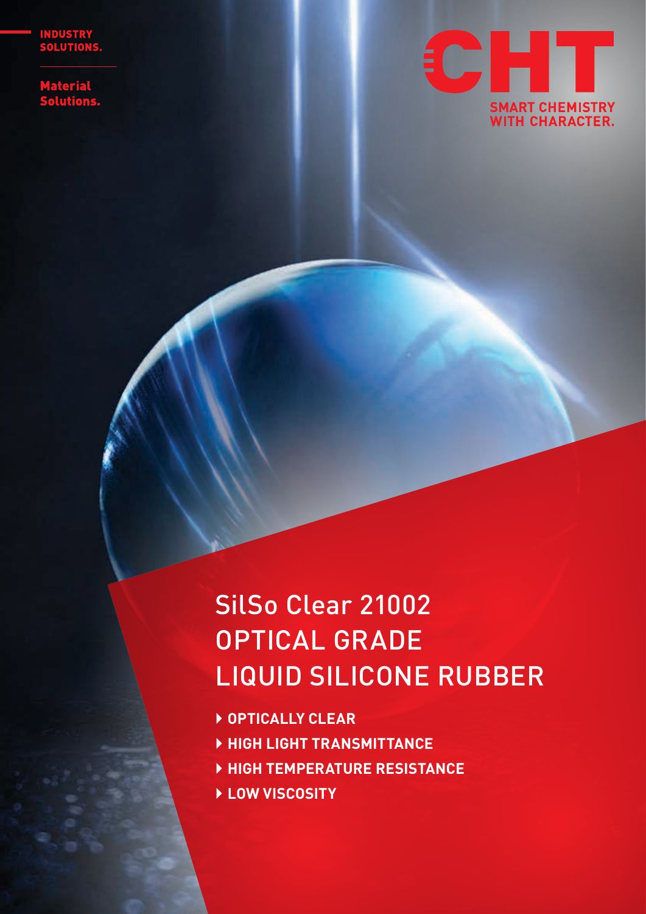**INDUSTRY<br>SOLUTIONS.** 

Material<br>Solutions<mark>.</mark>



# SilSo Clear 21002 OPTICAL GRADE LIQUID SILICONE RUBBER

- ` **OPTICALLY CLEAR**
- ` **HIGH LIGHT TRANSMITTANCE**
- ` **HIGH TEMPERATURE RESISTANCE**
- ` **LOW VISCOSITY**